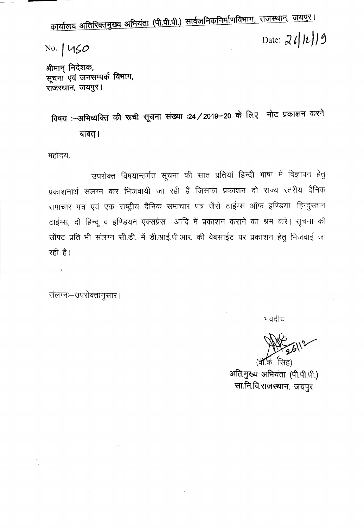कार्यालय अतिरिक्तमुख्य अभियंता (पी.पी.पी.) सार्वजनिकनिर्माणविभाग, राजस्थान, जयपुर। **Date: J.** *t/ J~J)3* **No.** *<sup>I</sup>* L1~O

श्रीमान् निदेशक, सूचना एवं जनसम्पर्क विभाग, राजस्थान, जयपुर।

विषय :- अभिव्यक्ति की रूची सूचना संख्या :24 / 2019-20 के लिए नोट प्रकाशन करने बाबत् ।

महोदय,

उपरोक्त विषयान्तर्गत सूचना की सात प्रतियां हिन्दी भाषा में विज्ञापन हेतु प्रकाशनार्थ संलग्न कर भिजवायी जा रही हैं जिसका प्रकाशन दो राज्य स्तरीय दैनिक समाचार पत्र एवं एक राष्ट्रीय दैनिक समाचार पत्र जैसे टाईम्स ऑफ इण्डिया, हिन्दुस्तान टाईम्स, दी हिन्दू व इण्डियन एक्सप्रेस आदि में प्रकाशन कराने का श्रम करें। सूचना की सॉफ्ट प्रति भी संलग्न सी.डी. में डी.आई.पी.आर. की वेबसाईट पर प्रकाशन हेतु भिजवाई जा **mE:l**

~: \3Q-.;ICK1ljfll\( I ,

भवदीय

(वी.के. सिंह) अति.मुख्य अभियंता (पी.पी.पी.) सा.नि.वि.राजस्थान, जयपूर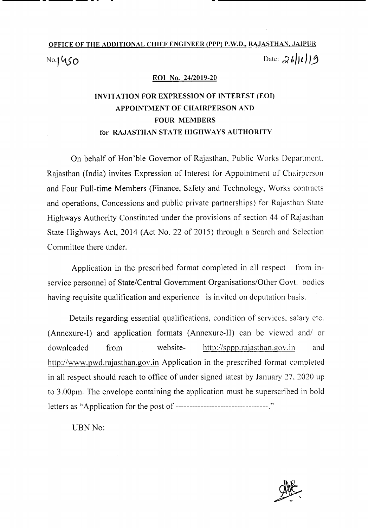# OFFICE OF THE ADDITIONAL CHIEF ENGINEER (PPP) P.W.D., RAJASTHAN, JAIPUR No. **1450** Date:  $26119$

#### EOI No. *24/2019-20*

### INVITATION FOR EXPRESSION OF INTEREST (EOI) APPOINTMENT OF CHAIRPERSON AND FOUR MEMBERS for RAJASTHAN STATE HIGHWAYS AUTHORITY

On behalf of Hon'ble Governor of Rajasthan, Public Works Department. Rajasthan (India) invites Expression of Interest for Appointment of Chairperson and Four Full-time Members (Finance, Safety and Technology, Works contracts and operations, Concessions and public private partnerships) for Rajasthan State Highways Authority Constituted under the provisions of section 44 of Rajasthan State Highways Act, 2014 (Act No. 22 of 2015) through a Search and Selection Committee there under.

Application in the prescribed format completed in all respect from inservice personnel of State/Central Government Organisations/Other Govt. bodies having requisite qualification and experience is invited on deputation basis.

Details regarding essential qualifications, condition of services, salary etc. (Annexure-I) and application formats (Annexure-II) can be viewed and/ or downloaded from website- http://sppp.rajasthan.gov.in and http://www.pwd.rajasthan.gov.in Application in the prescribed format completed in all respect should reach to office of under signed latest by January 27, 2020 up to 3.00pm. The envelope containing the application must be superscribed in bold letters as "Application for the post of ---------------------------------:'

UBN No:

-------

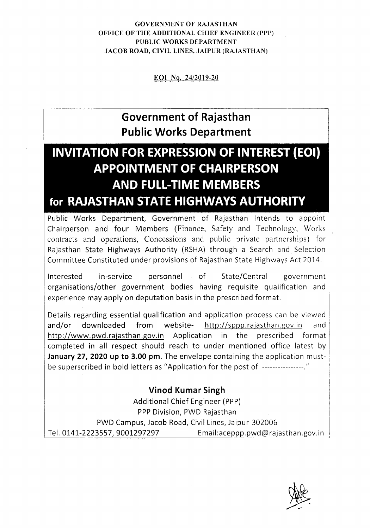### GOVERNMENT OF RAJASTHAN OFFICE OF THE ADDITIONAL CHIEF ENGINEER (PPP) PUBLIC WORKS DEPARTMENT JACOB ROAD, CIVIL LINES, JAIPUR (RAJASTHAN)

EOI No. *24/2019-20*

## **Government of Rajasthan Public Works Department**

# **INVITATION FOR EXPRESSION OF INTEREST (EOI) APPOINTMENT OF CHAIRPERSON AND FULL-TIME MEMBERS for RAJASTHAN STATE HIGHWAYS AUTHORITY**

Public Works Department, Government of Rajasthan Intends to appoint Chairperson and four Members (Finance, Safety and Technology, Works contracts and operations, Concessions and public private partnerships) for Rajasthan State Highways Authority (RSHA) through a Search and Selection Committee Constituted under provisions of Rajasthan State Highways Act 2014.

Interested in-service personnel of State/Central government organisations/other government bodies having requisite qualification and experience may apply on deputation basis in the prescribed format.

Details regarding essential qualification and application process can be viewed and/or downloaded from website- http://sppp.rajasthan.gov.in and http://www.pwd.rajasthan.gov.in Application in the prescribed format completed in all respect should reach to under mentioned office latest by January 27, 2020 up to 3.00 pm. The envelope containing the application mustbe superscribed in bold letters as "Application for the post of ----------------."

### Vinod Kumar Singh

Additional Chief Engineer (PPP) PPP Division, PWD Rajasthan PWD Campus, Jacob Road, Civil Lines, Jaipur-302006 Tel. 0141-2223557, 9001297297 Email:aceppp.pwd@rajasthan.gov.in